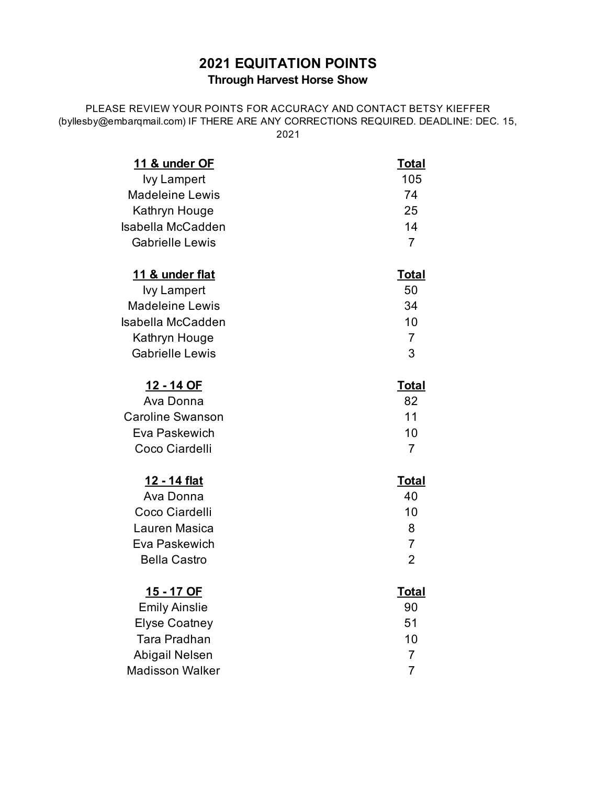## **2021 EQUITATION POINTS Through Harvest Horse Show**

PLEASE REVIEW YOUR POINTS FOR ACCURACY AND CONTACT BETSY KIEFFER (byllesby@embarqmail.com) IF THERE ARE ANY CORRECTIONS REQUIRED. DEADLINE: DEC. 15, 2021

| 11 & under OF<br><b>Ivy Lampert</b><br><b>Madeleine Lewis</b><br>Kathryn Houge<br>Isabella McCadden | <u>Total</u><br>105<br>74<br>25<br>14 |
|-----------------------------------------------------------------------------------------------------|---------------------------------------|
| <b>Gabrielle Lewis</b>                                                                              | $\overline{7}$                        |
| 11 & under flat                                                                                     | <u>Total</u>                          |
| <b>Ivy Lampert</b>                                                                                  | 50                                    |
| <b>Madeleine Lewis</b>                                                                              | 34                                    |
| <b>Isabella McCadden</b>                                                                            | 10                                    |
| Kathryn Houge                                                                                       | 7                                     |
| <b>Gabrielle Lewis</b>                                                                              | 3                                     |
| <u> 12 - 14 OF</u>                                                                                  | <u>Total</u>                          |
| Ava Donna                                                                                           | 82                                    |
| <b>Caroline Swanson</b>                                                                             | 11                                    |
| Eva Paskewich                                                                                       | 10                                    |
| Coco Ciardelli                                                                                      | $\overline{7}$                        |
| <u> 12 - 14 flat</u>                                                                                | <u>Total</u>                          |
| Ava Donna                                                                                           | 40                                    |
| Coco Ciardelli                                                                                      | 10                                    |
| Lauren Masica                                                                                       | 8                                     |
| Eva Paskewich                                                                                       | $\overline{7}$                        |
| <b>Bella Castro</b>                                                                                 | $\overline{2}$                        |
| <u>15 - 17 OF</u>                                                                                   | <u>Total</u>                          |
| <b>Emily Ainslie</b>                                                                                | 90                                    |
| <b>Elyse Coatney</b>                                                                                | 51                                    |
| Tara Pradhan                                                                                        | 10                                    |
| Abigail Nelsen                                                                                      | 7                                     |
| <b>Madisson Walker</b>                                                                              | 7                                     |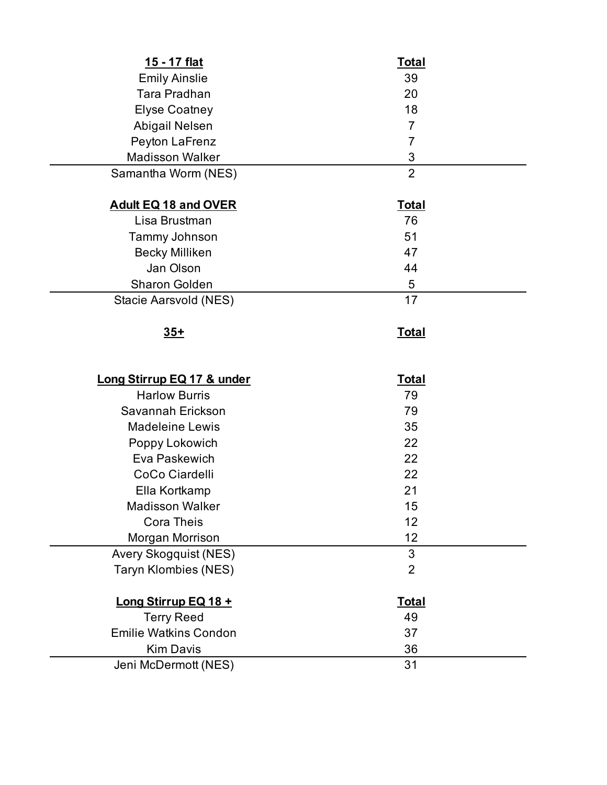| 15 - 17 flat                 | <b>Total</b>   |  |
|------------------------------|----------------|--|
| <b>Emily Ainslie</b>         | 39             |  |
| Tara Pradhan                 | 20             |  |
| <b>Elyse Coatney</b>         | 18             |  |
| Abigail Nelsen               | $\overline{7}$ |  |
| Peyton LaFrenz               | $\overline{7}$ |  |
| <b>Madisson Walker</b>       | $\sqrt{3}$     |  |
| Samantha Worm (NES)          | $\overline{2}$ |  |
|                              |                |  |
| <b>Adult EQ 18 and OVER</b>  | <b>Total</b>   |  |
| Lisa Brustman                | 76             |  |
| Tammy Johnson                | 51             |  |
| <b>Becky Milliken</b>        | 47             |  |
| Jan Olson                    | 44             |  |
| <b>Sharon Golden</b>         | 5              |  |
| Stacie Aarsvold (NES)        | 17             |  |
|                              |                |  |
| $35+$                        | <b>Total</b>   |  |
|                              |                |  |
|                              |                |  |
|                              |                |  |
| Long Stirrup EQ 17 & under   | <b>Total</b>   |  |
| <b>Harlow Burris</b>         | 79             |  |
| Savannah Erickson            | 79             |  |
| <b>Madeleine Lewis</b>       | 35             |  |
| Poppy Lokowich               | 22             |  |
| Eva Paskewich                | 22             |  |
| CoCo Ciardelli               | 22             |  |
| Ella Kortkamp                | 21             |  |
| <b>Madisson Walker</b>       | 15             |  |
| <b>Cora Theis</b>            | 12             |  |
| Morgan Morrison              | 12             |  |
| Avery Skogquist (NES)        | 3              |  |
| Taryn Klombies (NES)         | $\overline{2}$ |  |
|                              |                |  |
| Long Stirrup EQ 18 +         | <u>Total</u>   |  |
| <b>Terry Reed</b>            | 49             |  |
| <b>Emilie Watkins Condon</b> | 37             |  |
| <b>Kim Davis</b>             | 36             |  |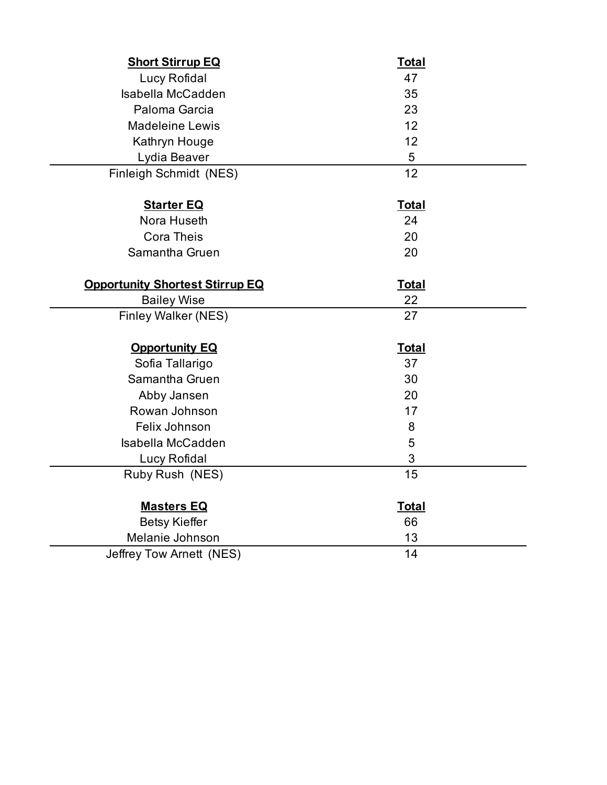| <b>Short Stirrup EQ</b>                | <b>Total</b> |
|----------------------------------------|--------------|
| Lucy Rofidal                           | 47           |
| Isabella McCadden                      | 35           |
| Paloma Garcia                          | 23           |
| <b>Madeleine Lewis</b>                 | 12           |
| Kathryn Houge                          | 12           |
| Lydia Beaver                           | 5            |
| Finleigh Schmidt (NES)                 | 12           |
|                                        |              |
| <b>Starter EQ</b>                      | <b>Total</b> |
| Nora Huseth                            | 24           |
| <b>Cora Theis</b>                      | 20           |
| Samantha Gruen                         | 20           |
|                                        |              |
| <b>Opportunity Shortest Stirrup EQ</b> | <b>Total</b> |
| <b>Bailey Wise</b>                     | 22           |
| Finley Walker (NES)                    | 27           |
|                                        |              |
| <b>Opportunity EQ</b>                  | <b>Total</b> |
| Sofia Tallarigo                        | 37           |
| Samantha Gruen                         | 30           |
| Abby Jansen                            | 20           |
| Rowan Johnson                          | 17           |
| Felix Johnson                          | 8            |
| Isabella McCadden                      | 5            |
| Lucy Rofidal                           | $\sqrt{3}$   |
| Ruby Rush (NES)                        | 15           |
|                                        |              |
| <b>Masters EQ</b>                      | <b>Total</b> |
| <b>Betsy Kieffer</b>                   | 66           |
| Melanie Johnson                        | 13           |
| Jeffrey Tow Arnett (NES)               | 14           |